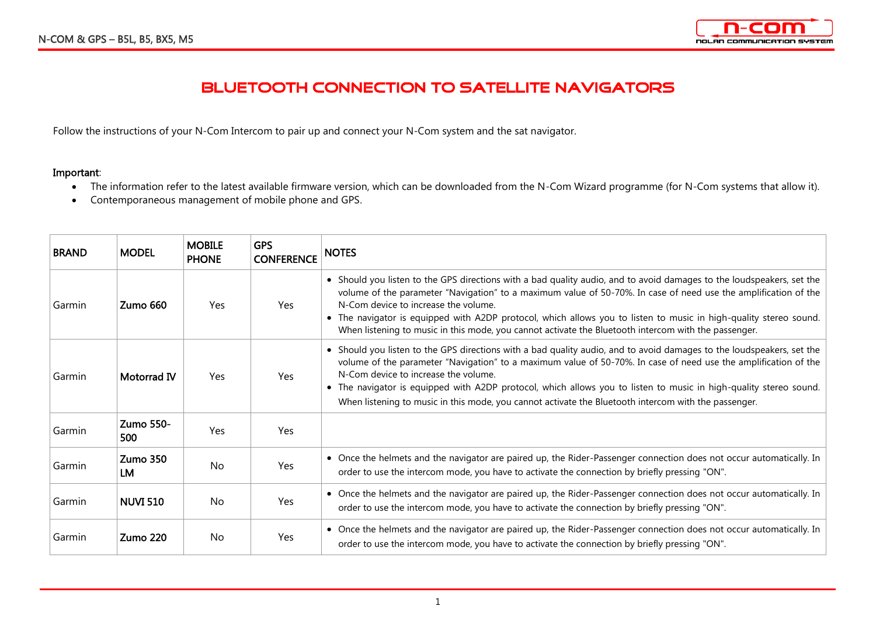

## BLUETOOTH CONNECTION TO SATELLITE NAVIGATORS

Follow the instructions of your N-Com Intercom to pair up and connect your N-Com system and the sat navigator.

## Important:

- The information refer to the latest available firmware version, which can be downloaded from the N-Com Wizard programme (for N-Com systems that allow it).
- Contemporaneous management of mobile phone and GPS.

| <b>BRAND</b> | <b>MODEL</b>            | <b>MOBILE</b><br><b>PHONE</b> | <b>GPS</b><br><b>CONFERENCE</b> | <b>NOTES</b>                                                                                                                                                                                                                                                                                                                                                                                                                                                                                                  |
|--------------|-------------------------|-------------------------------|---------------------------------|---------------------------------------------------------------------------------------------------------------------------------------------------------------------------------------------------------------------------------------------------------------------------------------------------------------------------------------------------------------------------------------------------------------------------------------------------------------------------------------------------------------|
| Garmin       | Zumo 660                | Yes                           | <b>Yes</b>                      | • Should you listen to the GPS directions with a bad quality audio, and to avoid damages to the loudspeakers, set the<br>volume of the parameter "Navigation" to a maximum value of 50-70%. In case of need use the amplification of the<br>N-Com device to increase the volume.<br>• The navigator is equipped with A2DP protocol, which allows you to listen to music in high-quality stereo sound.<br>When listening to music in this mode, you cannot activate the Bluetooth intercom with the passenger. |
| Garmin       | Motorrad IV             | Yes                           | Yes                             | • Should you listen to the GPS directions with a bad quality audio, and to avoid damages to the loudspeakers, set the<br>volume of the parameter "Navigation" to a maximum value of 50-70%. In case of need use the amplification of the<br>N-Com device to increase the volume.<br>• The navigator is equipped with A2DP protocol, which allows you to listen to music in high-quality stereo sound.<br>When listening to music in this mode, you cannot activate the Bluetooth intercom with the passenger. |
| Garmin       | <b>Zumo 550-</b><br>500 | Yes                           | Yes                             |                                                                                                                                                                                                                                                                                                                                                                                                                                                                                                               |
| Garmin       | Zumo 350<br>LM          | No                            | Yes                             | • Once the helmets and the navigator are paired up, the Rider-Passenger connection does not occur automatically. In<br>order to use the intercom mode, you have to activate the connection by briefly pressing "ON".                                                                                                                                                                                                                                                                                          |
| Garmin       | <b>NUVI 510</b>         | No                            | Yes                             | • Once the helmets and the navigator are paired up, the Rider-Passenger connection does not occur automatically. In<br>order to use the intercom mode, you have to activate the connection by briefly pressing "ON".                                                                                                                                                                                                                                                                                          |
| Garmin       | <b>Zumo 220</b>         | No                            | Yes                             | • Once the helmets and the navigator are paired up, the Rider-Passenger connection does not occur automatically. In<br>order to use the intercom mode, you have to activate the connection by briefly pressing "ON".                                                                                                                                                                                                                                                                                          |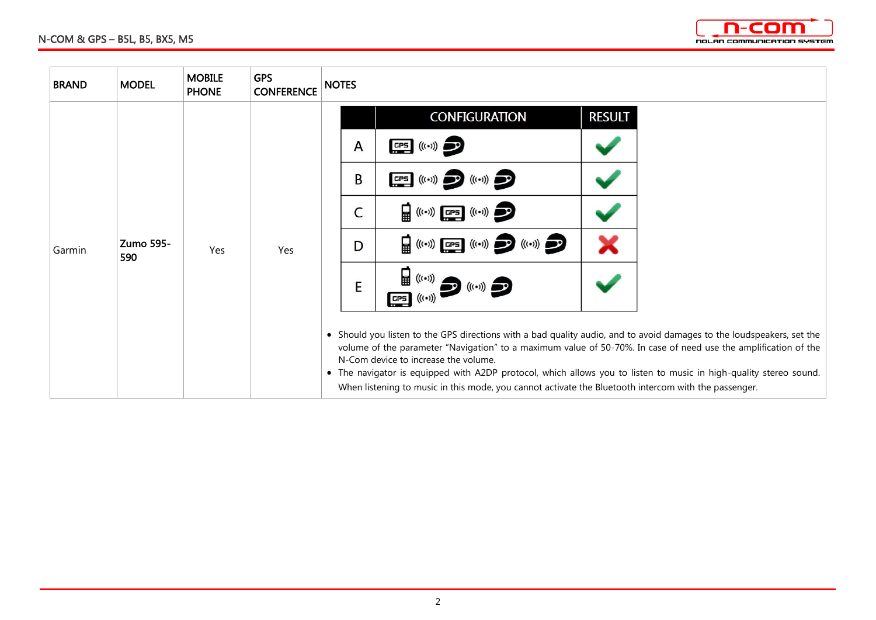

| <b>BRAND</b> | <b>MODEL</b>            | <b>MOBILE</b><br><b>PHONE</b> | <b>GPS</b><br><b>CONFERENCE</b> | <b>NOTES</b>                                                                                                                                                                                                                                                                                                                                                                                                                                                                                                  |              |                                                                                                                                                                                                                              |               |  |
|--------------|-------------------------|-------------------------------|---------------------------------|---------------------------------------------------------------------------------------------------------------------------------------------------------------------------------------------------------------------------------------------------------------------------------------------------------------------------------------------------------------------------------------------------------------------------------------------------------------------------------------------------------------|--------------|------------------------------------------------------------------------------------------------------------------------------------------------------------------------------------------------------------------------------|---------------|--|
| Garmin       | <b>Zumo 595-</b><br>590 | Yes                           | Yes                             |                                                                                                                                                                                                                                                                                                                                                                                                                                                                                                               |              | <b>CONFIGURATION</b>                                                                                                                                                                                                         | <b>RESULT</b> |  |
|              |                         |                               |                                 |                                                                                                                                                                                                                                                                                                                                                                                                                                                                                                               | $\mathsf{A}$ | $CPS$ $(((*)))$                                                                                                                                                                                                              |               |  |
|              |                         |                               |                                 |                                                                                                                                                                                                                                                                                                                                                                                                                                                                                                               | B            | $\begin{array}{lll} \text{GPS} & \big( (\cdots ) \big) & \bullet \bullet \bullet \end{array} \quad \big( (\cdots ) \big) \quad \bullet \bullet \bullet$                                                                      |               |  |
|              |                         |                               |                                 |                                                                                                                                                                                                                                                                                                                                                                                                                                                                                                               | C            | $\left(\mathbf{r}(\cdot)\right)$ and $\left(\mathbf{r}(\cdot)\right)$                                                                                                                                                        |               |  |
|              |                         |                               |                                 |                                                                                                                                                                                                                                                                                                                                                                                                                                                                                                               | D            | $\left  \frac{1}{\mathbf{H}^{(i)}} \left( \left( \cdot \cdot \right) \right) \right $ $\left  \frac{\mathbf{GPS}}{\mathbf{GPS}} \right $ $\left( \left( \cdot \cdot \right) \right)$ $\left  \frac{1}{\mathbf{GPS}} \right $ | X             |  |
|              |                         |                               |                                 |                                                                                                                                                                                                                                                                                                                                                                                                                                                                                                               | E            | ਜ਼<br>$((\cdot))$<br>$((\cdot))$<br>$CPS \left( ((*) \right)$                                                                                                                                                                |               |  |
|              |                         |                               |                                 | • Should you listen to the GPS directions with a bad quality audio, and to avoid damages to the loudspeakers, set the<br>volume of the parameter "Navigation" to a maximum value of 50-70%. In case of need use the amplification of the<br>N-Com device to increase the volume.<br>• The navigator is equipped with A2DP protocol, which allows you to listen to music in high-quality stereo sound.<br>When listening to music in this mode, you cannot activate the Bluetooth intercom with the passenger. |              |                                                                                                                                                                                                                              |               |  |